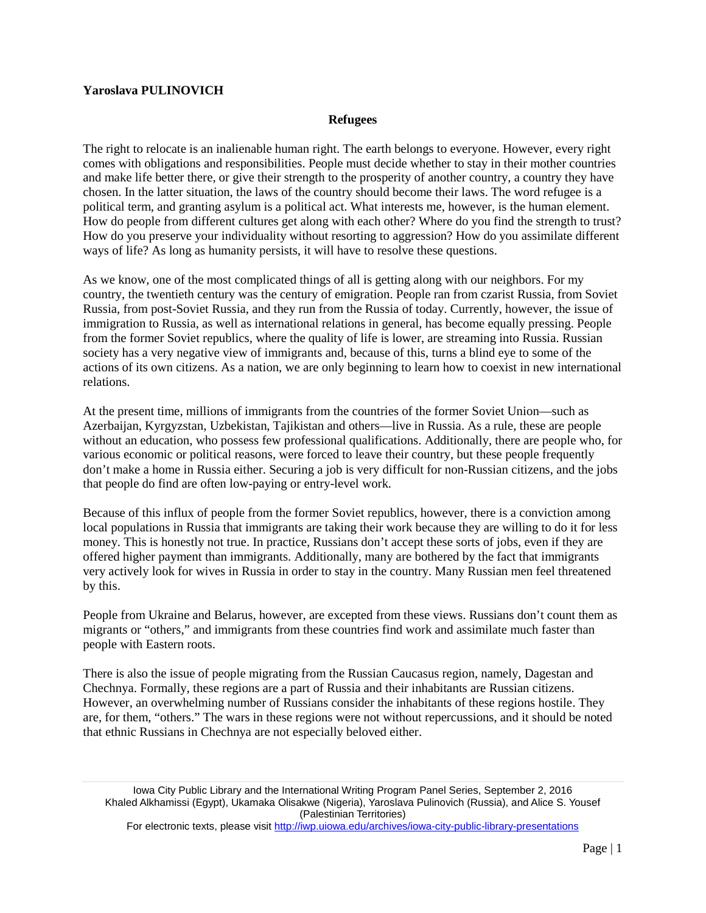## **Yaroslava PULINOVICH**

## **Refugees**

The right to relocate is an inalienable human right. The earth belongs to everyone. However, every right comes with obligations and responsibilities. People must decide whether to stay in their mother countries and make life better there, or give their strength to the prosperity of another country, a country they have chosen. In the latter situation, the laws of the country should become their laws. The word refugee is a political term, and granting asylum is a political act. What interests me, however, is the human element. How do people from different cultures get along with each other? Where do you find the strength to trust? How do you preserve your individuality without resorting to aggression? How do you assimilate different ways of life? As long as humanity persists, it will have to resolve these questions.

As we know, one of the most complicated things of all is getting along with our neighbors. For my country, the twentieth century was the century of emigration. People ran from czarist Russia, from Soviet Russia, from post-Soviet Russia, and they run from the Russia of today. Currently, however, the issue of immigration to Russia, as well as international relations in general, has become equally pressing. People from the former Soviet republics, where the quality of life is lower, are streaming into Russia. Russian society has a very negative view of immigrants and, because of this, turns a blind eye to some of the actions of its own citizens. As a nation, we are only beginning to learn how to coexist in new international relations.

At the present time, millions of immigrants from the countries of the former Soviet Union—such as Azerbaijan, Kyrgyzstan, Uzbekistan, Tajikistan and others—live in Russia. As a rule, these are people without an education, who possess few professional qualifications. Additionally, there are people who, for various economic or political reasons, were forced to leave their country, but these people frequently don't make a home in Russia either. Securing a job is very difficult for non-Russian citizens, and the jobs that people do find are often low-paying or entry-level work.

Because of this influx of people from the former Soviet republics, however, there is a conviction among local populations in Russia that immigrants are taking their work because they are willing to do it for less money. This is honestly not true. In practice, Russians don't accept these sorts of jobs, even if they are offered higher payment than immigrants. Additionally, many are bothered by the fact that immigrants very actively look for wives in Russia in order to stay in the country. Many Russian men feel threatened by this.

People from Ukraine and Belarus, however, are excepted from these views. Russians don't count them as migrants or "others," and immigrants from these countries find work and assimilate much faster than people with Eastern roots.

There is also the issue of people migrating from the Russian Caucasus region, namely, Dagestan and Chechnya. Formally, these regions are a part of Russia and their inhabitants are Russian citizens. However, an overwhelming number of Russians consider the inhabitants of these regions hostile. They are, for them, "others." The wars in these regions were not without repercussions, and it should be noted that ethnic Russians in Chechnya are not especially beloved either.

Iowa City Public Library and the International Writing Program Panel Series, September 2, 2016 Khaled Alkhamissi (Egypt), Ukamaka Olisakwe (Nigeria), Yaroslava Pulinovich (Russia), and Alice S. Yousef (Palestinian Territories)

For electronic texts, please visit<http://iwp.uiowa.edu/archives/iowa-city-public-library-presentations>